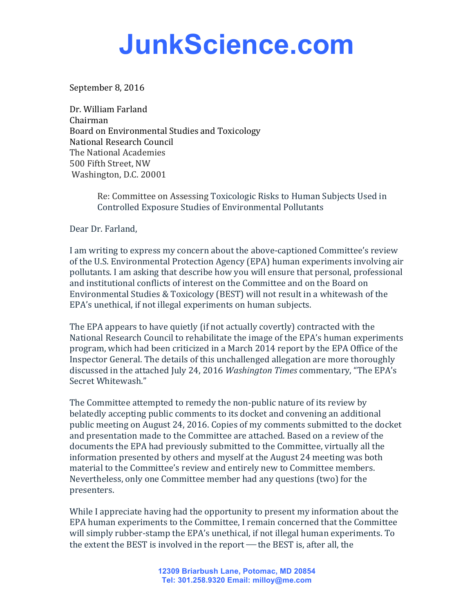## **JunkScience.com**

September 8, 2016

Dr. William Farland Chairman Board on Environmental Studies and Toxicology National Research Council The National Academies 500 Fifth Street, NW Washington, D.C. 20001

> Re: Committee on Assessing Toxicologic Risks to Human Subjects Used in Controlled Exposure Studies of Environmental Pollutants

Dear Dr. Farland,

I am writing to express my concern about the above-captioned Committee's review of the U.S. Environmental Protection Agency (EPA) human experiments involving air pollutants. I am asking that describe how you will ensure that personal, professional and institutional conflicts of interest on the Committee and on the Board on Environmental Studies & Toxicology (BEST) will not result in a whitewash of the EPA's unethical, if not illegal experiments on human subjects.

The EPA appears to have quietly (if not actually covertly) contracted with the National Research Council to rehabilitate the image of the EPA's human experiments program, which had been criticized in a March 2014 report by the EPA Office of the Inspector General. The details of this unchallenged allegation are more thoroughly discussed in the attached July 24, 2016 *Washington Times* commentary, "The EPA's Secret Whitewash."

The Committee attempted to remedy the non-public nature of its review by belatedly accepting public comments to its docket and convening an additional public meeting on August 24, 2016. Copies of my comments submitted to the docket and presentation made to the Committee are attached. Based on a review of the documents the EPA had previously submitted to the Committee, virtually all the information presented by others and myself at the August 24 meeting was both material to the Committee's review and entirely new to Committee members. Nevertheless, only one Committee member had any questions (two) for the presenters.

While I appreciate having had the opportunity to present my information about the EPA human experiments to the Committee, I remain concerned that the Committee will simply rubber-stamp the EPA's unethical, if not illegal human experiments. To the extent the BEST is involved in the report  $-$  the BEST is, after all, the